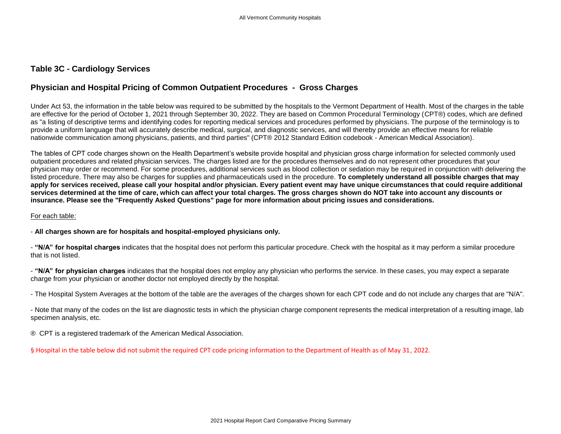## **Table 3C - Cardiology Services**

## **Physician and Hospital Pricing of Common Outpatient Procedures - Gross Charges**

Under Act 53, the information in the table below was required to be submitted by the hospitals to the Vermont Department of Health. Most of the charges in the table are effective for the period of October 1, 2021 through September 30, 2022. They are based on Common Procedural Terminology (CPT®) codes, which are defined as "a listing of descriptive terms and identifying codes for reporting medical services and procedures performed by physicians. The purpose of the terminology is to provide a uniform language that will accurately describe medical, surgical, and diagnostic services, and will thereby provide an effective means for reliable nationwide communication among physicians, patients, and third parties" (CPT® 2012 Standard Edition codebook - American Medical Association).

The tables of CPT code charges shown on the Health Department's website provide hospital and physician gross charge information for selected commonly used outpatient procedures and related physician services. The charges listed are for the procedures themselves and do not represent other procedures that your physician may order or recommend. For some procedures, additional services such as blood collection or sedation may be required in conjunction with delivering the listed procedure. There may also be charges for supplies and pharmaceuticals used in the procedure. **To completely understand all possible charges that may apply for services received, please call your hospital and/or physician. Every patient event may have unique circumstances that could require additional services determined at the time of care, which can affect your total charges. The gross charges shown do NOT take into account any discounts or insurance. Please see the "Frequently Asked Questions" page for more information about pricing issues and considerations.**

## For each table:

- **All charges shown are for hospitals and hospital-employed physicians only.**

- **"N/A" for hospital charges** indicates that the hospital does not perform this particular procedure. Check with the hospital as it may perform a similar procedure that is not listed.

- **"N/A" for physician charges** indicates that the hospital does not employ any physician who performs the service. In these cases, you may expect a separate charge from your physician or another doctor not employed directly by the hospital.

- The Hospital System Averages at the bottom of the table are the averages of the charges shown for each CPT code and do not include any charges that are "N/A".

- Note that many of the codes on the list are diagnostic tests in which the physician charge component represents the medical interpretation of a resulting image, lab specimen analysis, etc.

® CPT is a registered trademark of the American Medical Association.

§ Hospital in the table below did not submit the required CPT code pricing information to the Department of Health as of May 31, 2022.